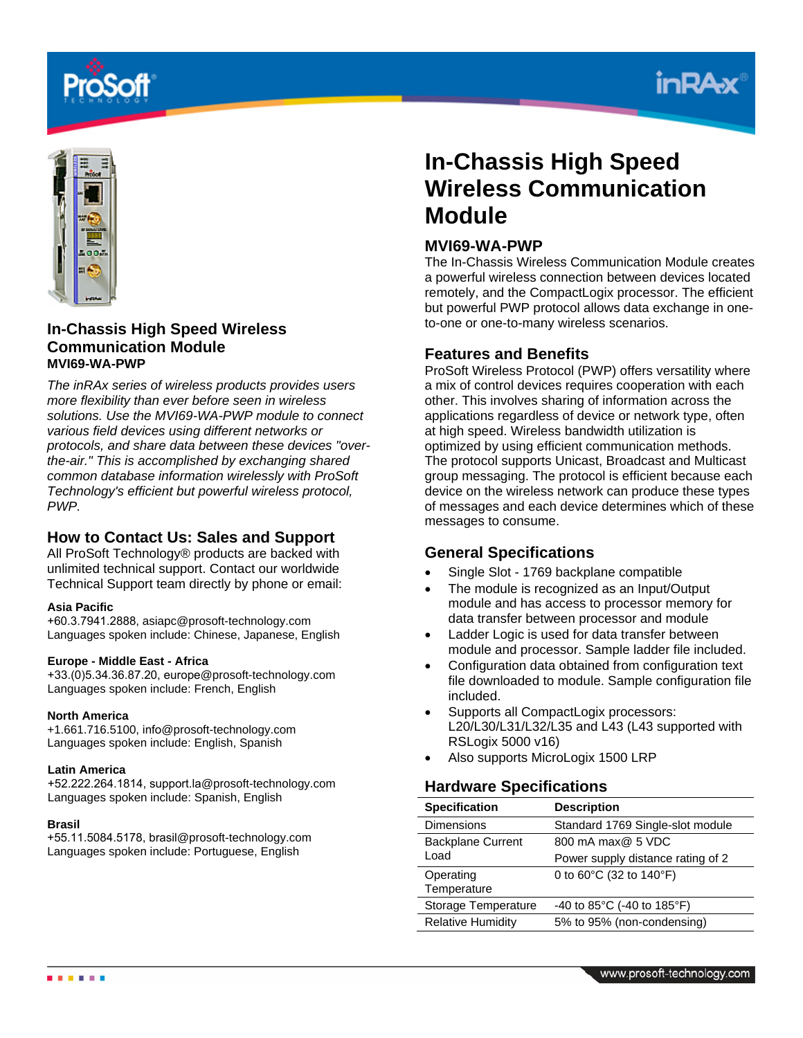





# **In-Chassis High Speed Wireless Communication Module MVI69-WA-PWP**

*The inRAx series of wireless products provides users more flexibility than ever before seen in wireless solutions. Use the MVI69-WA-PWP module to connect various field devices using different networks or protocols, and share data between these devices "overthe-air." This is accomplished by exchanging shared common database information wirelessly with ProSoft Technology's efficient but powerful wireless protocol, PWP.* 

# **How to Contact Us: Sales and Support**

All ProSoft Technology® products are backed with unlimited technical support. Contact our worldwide Technical Support team directly by phone or email:

#### **Asia Pacific**

+60.3.7941.2888, asiapc@prosoft-technology.com Languages spoken include: Chinese, Japanese, English

### **Europe - Middle East - Africa**

+33.(0)5.34.36.87.20, europe@prosoft-technology.com Languages spoken include: French, English

#### **North America**

+1.661.716.5100, info@prosoft-technology.com Languages spoken include: English, Spanish

#### **Latin America**

+52.222.264.1814, support.la@prosoft-technology.com Languages spoken include: Spanish, English

#### **Brasil**

+55.11.5084.5178, brasil@prosoft-technology.com Languages spoken include: Portuguese, English

# **In-Chassis High Speed Wireless Communication Module**

## **MVI69-WA-PWP**

The In-Chassis Wireless Communication Module creates a powerful wireless connection between devices located remotely, and the CompactLogix processor. The efficient but powerful PWP protocol allows data exchange in oneto-one or one-to-many wireless scenarios.

## **Features and Benefits**

ProSoft Wireless Protocol (PWP) offers versatility where a mix of control devices requires cooperation with each other. This involves sharing of information across the applications regardless of device or network type, often at high speed. Wireless bandwidth utilization is optimized by using efficient communication methods. The protocol supports Unicast, Broadcast and Multicast group messaging. The protocol is efficient because each device on the wireless network can produce these types of messages and each device determines which of these messages to consume.

# **General Specifications**

- Single Slot 1769 backplane compatible
- The module is recognized as an Input/Output module and has access to processor memory for data transfer between processor and module
- Ladder Logic is used for data transfer between module and processor. Sample ladder file included.
- Configuration data obtained from configuration text file downloaded to module. Sample configuration file included.
- Supports all CompactLogix processors: L20/L30/L31/L32/L35 and L43 (L43 supported with RSLogix 5000 v16)
- Also supports MicroLogix 1500 LRP

# **Hardware Specifications**

| <b>Specification</b>     | <b>Description</b>                               |
|--------------------------|--------------------------------------------------|
| <b>Dimensions</b>        | Standard 1769 Single-slot module                 |
| <b>Backplane Current</b> | 800 mA max@ 5 VDC                                |
| Load                     | Power supply distance rating of 2                |
| Operating<br>Temperature | 0 to $60^{\circ}$ C (32 to 140 $^{\circ}$ F)     |
| Storage Temperature      | -40 to 85 $^{\circ}$ C (-40 to 185 $^{\circ}$ F) |
| <b>Relative Humidity</b> | 5% to 95% (non-condensing)                       |